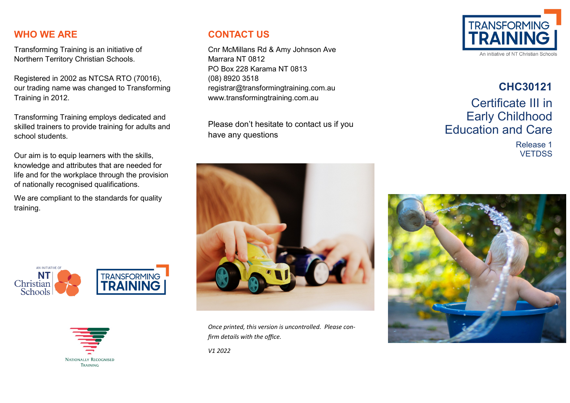#### **WHO WE ARE**

Transforming Training is an initiative of Northern Territory Christian Schools.

Registered in 2002 as NTCSA RTO (70016), our trading name was changed to Transforming Training in 2012.

Transforming Training employs dedicated and skilled trainers to provide training for adults and school students.

Our aim is to equip learners with the skills, knowledge and attributes that are needed for life and for the workplace through the provision of nationally recognised qualifications.

We are compliant to the standards for quality training.





#### **CONTACT US**

Cnr McMillans Rd & Amy Johnson Ave Marrara NT 0812 PO Box 228 Karama NT 0813 (08) 8920 3518 registrar@transformingtraining.com.au www.transformingtraining.com.au

Please don't hesitate to contact us if you have any questions



*Once printed, this version is uncontrolled. Please confirm details with the office.*

*V1 2022*



# **CHC30121** Certificate III in Early Childhood Education and Care

Release 1 **VETDSS**